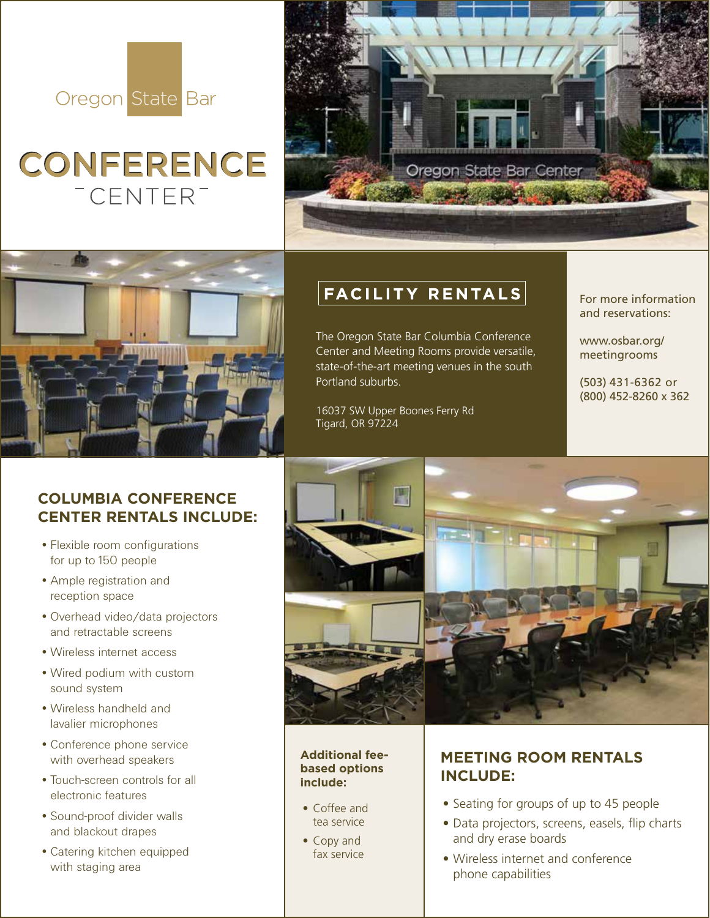

# **CONFERENCE** <sup>-</sup>CENTER<sup>-</sup>





### **COLUMBIA CONFERENCE CENTER RENTALS INCLUDE:**

- •Flexible room configurations for up to 150 people
- •Ample registration and reception space
- •Overhead video/data projectors and retractable screens
- •Wireless internet access
- •Wired podium with custom sound system
- •Wireless handheld and lavalier microphones
- •Conference phone service with overhead speakers
- •Touch-screen controls for all electronic features
- •Sound-proof divider walls and blackout drapes
- •Catering kitchen equipped with staging area

# FACILITY RENTALS

The Oregon State Bar Columbia Conference Center and Meeting Rooms provide versatile, state-of-the-art meeting venues in the south Portland suburbs.

16037 SW Upper Boones Ferry Rd Tigard, OR 97224

For more information and reservations:

www.osbar.org/ meetingrooms

(503) 431-6362 or (800) 452-8260 x 362



#### **Additional feebased options include:**

- Coffee and tea service
- Copy and fax service

## **MEETING ROOM RENTALS INCLUDE:**

- Seating for groups of up to 45 people
- Data projectors, screens, easels, flip charts and dry erase boards
- Wireless internet and conference phone capabilities